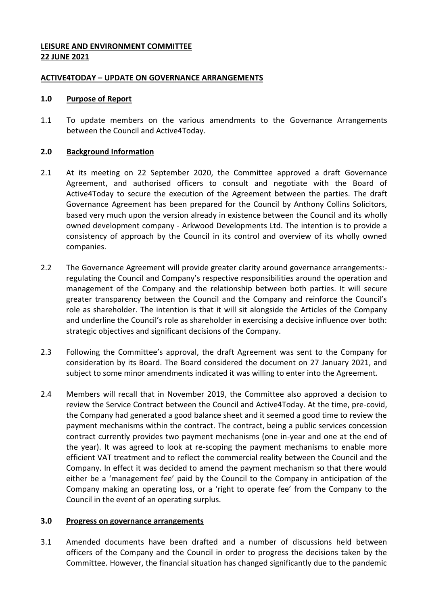# **LEISURE AND ENVIRONMENT COMMITTEE 22 JUNE 2021**

### **ACTIVE4TODAY – UPDATE ON GOVERNANCE ARRANGEMENTS**

#### **1.0 Purpose of Report**

1.1 To update members on the various amendments to the Governance Arrangements between the Council and Active4Today.

# **2.0 Background Information**

- 2.1 At its meeting on 22 September 2020, the Committee approved a draft Governance Agreement, and authorised officers to consult and negotiate with the Board of Active4Today to secure the execution of the Agreement between the parties. The draft Governance Agreement has been prepared for the Council by Anthony Collins Solicitors, based very much upon the version already in existence between the Council and its wholly owned development company - Arkwood Developments Ltd. The intention is to provide a consistency of approach by the Council in its control and overview of its wholly owned companies.
- 2.2 The Governance Agreement will provide greater clarity around governance arrangements: regulating the Council and Company's respective responsibilities around the operation and management of the Company and the relationship between both parties. It will secure greater transparency between the Council and the Company and reinforce the Council's role as shareholder. The intention is that it will sit alongside the Articles of the Company and underline the Council's role as shareholder in exercising a decisive influence over both: strategic objectives and significant decisions of the Company.
- 2.3 Following the Committee's approval, the draft Agreement was sent to the Company for consideration by its Board. The Board considered the document on 27 January 2021, and subject to some minor amendments indicated it was willing to enter into the Agreement.
- 2.4 Members will recall that in November 2019, the Committee also approved a decision to review the Service Contract between the Council and Active4Today. At the time, pre-covid, the Company had generated a good balance sheet and it seemed a good time to review the payment mechanisms within the contract. The contract, being a public services concession contract currently provides two payment mechanisms (one in-year and one at the end of the year). It was agreed to look at re-scoping the payment mechanisms to enable more efficient VAT treatment and to reflect the commercial reality between the Council and the Company. In effect it was decided to amend the payment mechanism so that there would either be a 'management fee' paid by the Council to the Company in anticipation of the Company making an operating loss, or a 'right to operate fee' from the Company to the Council in the event of an operating surplus.

#### **3.0 Progress on governance arrangements**

3.1 Amended documents have been drafted and a number of discussions held between officers of the Company and the Council in order to progress the decisions taken by the Committee. However, the financial situation has changed significantly due to the pandemic